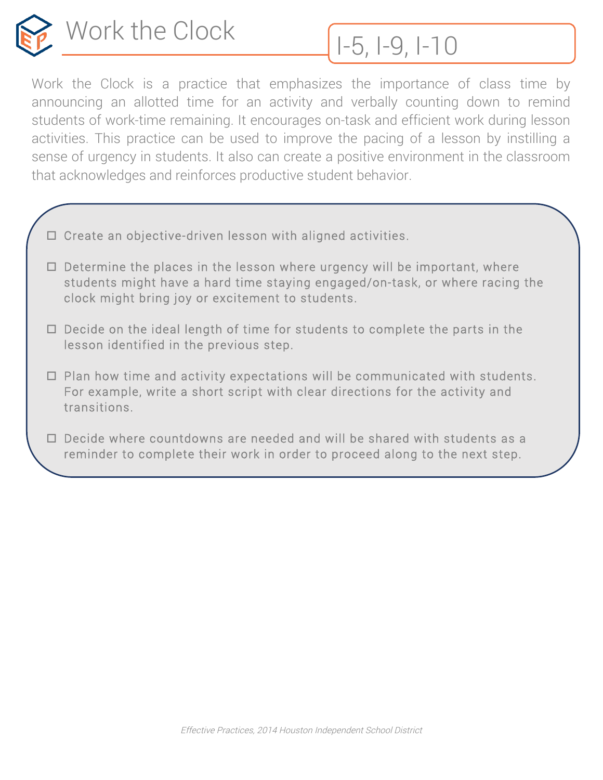

Work the Clock is a practice that emphasizes the importance of class time by announcing an allotted time for an activity and verbally counting down to remind students of work-time remaining. It encourages on-task and efficient work during lesson activities. This practice can be used to improve the pacing of a lesson by instilling a sense of urgency in students. It also can create a positive environment in the classroom that acknowledges and reinforces productive student behavior.

- $\Box$  Create an objective-driven lesson with aligned activities.
- $\Box$  Determine the places in the lesson where urgency will be important, where students might have a hard time staying engaged/on-task, or where racing the clock might bring joy or excitement to students.
- $\Box$  Decide on the ideal length of time for students to complete the parts in the lesson identified in the previous step.
- $\Box$  Plan how time and activity expectations will be communicated with students. For example, write a short script with clear directions for the activity and transitions.
- $\Box$  Decide where countdowns are needed and will be shared with students as a reminder to complete their work in order to proceed along to the next step.